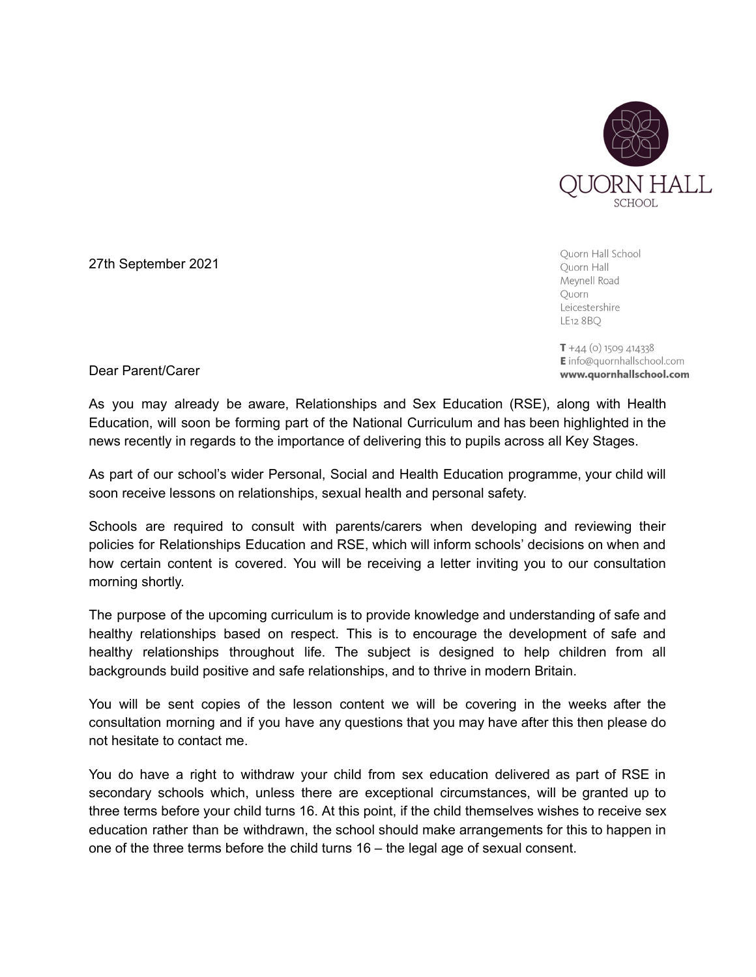

Ouorn Hall School Quorn Hall Meynell Road Quorn Leicestershire LE12 8 BQ

 $T + 44$  (o) 1509 414338 **E** info@quornhallschool.com www.quornhallschool.com

Dear Parent/Carer

27th September 2021

As you may already be aware, Relationships and Sex Education (RSE), along with Health Education, will soon be forming part of the National Curriculum and has been highlighted in the news recently in regards to the importance of delivering this to pupils across all Key Stages.

As part of our school's wider Personal, Social and Health Education programme, your child will soon receive lessons on relationships, sexual health and personal safety.

Schools are required to consult with parents/carers when developing and reviewing their policies for Relationships Education and RSE, which will inform schools' decisions on when and how certain content is covered. You will be receiving a letter inviting you to our consultation morning shortly.

The purpose of the upcoming curriculum is to provide knowledge and understanding of safe and healthy relationships based on respect. This is to encourage the development of safe and healthy relationships throughout life. The subject is designed to help children from all backgrounds build positive and safe relationships, and to thrive in modern Britain.

You will be sent copies of the lesson content we will be covering in the weeks after the consultation morning and if you have any questions that you may have after this then please do not hesitate to contact me.

You do have a right to withdraw your child from sex education delivered as part of RSE in secondary schools which, unless there are exceptional circumstances, will be granted up to three terms before your child turns 16. At this point, if the child themselves wishes to receive sex education rather than be withdrawn, the school should make arrangements for this to happen in one of the three terms before the child turns 16 – the legal age of sexual consent.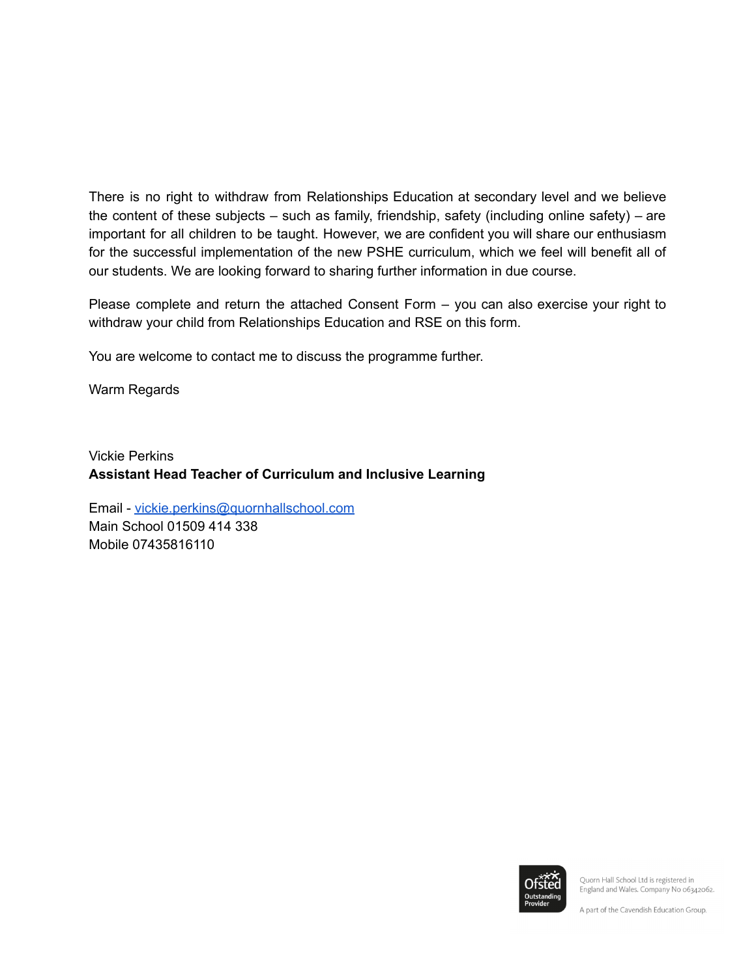There is no right to withdraw from Relationships Education at secondary level and we believe the content of these subjects – such as family, friendship, safety (including online safety) – are important for all children to be taught. However, we are confident you will share our enthusiasm for the successful implementation of the new PSHE curriculum, which we feel will benefit all of our students. We are looking forward to sharing further information in due course.

Please complete and return the attached Consent Form – you can also exercise your right to withdraw your child from Relationships Education and RSE on this form.

You are welcome to contact me to discuss the programme further.

Warm Regards

Vickie Perkins **Assistant Head Teacher of Curriculum and Inclusive Learning**

Email - [vickie.perkins@quornhallschool.com](mailto:vickie.perkins@quornhallschool.com) Main School 01509 414 338 Mobile 07435816110



Quorn Hall School Ltd is registered in England and Wales. Company No 06342062.

A part of the Cavendish Education Group.